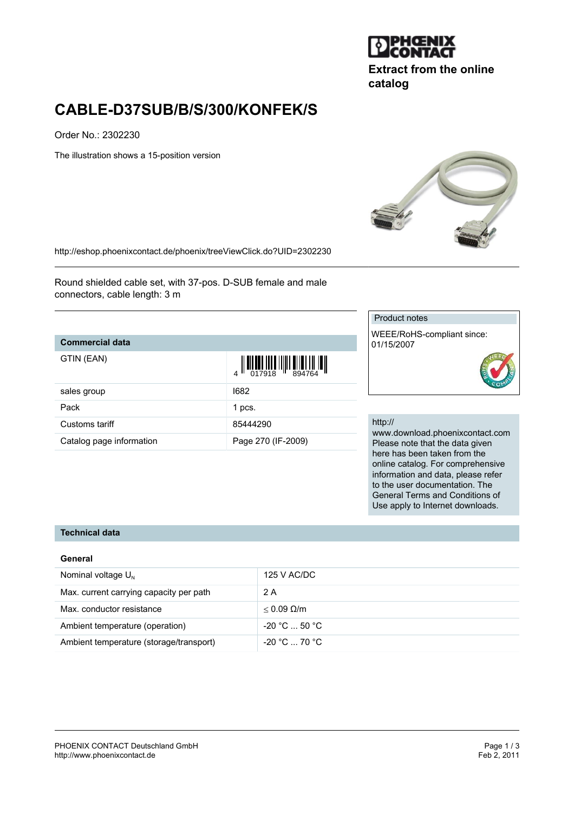

**Extract from the online catalog**

# **CABLE-D37SUB/B/S/300/KONFEK/S**

Order No.: 2302230

The illustration shows a 15-position version



<http://eshop.phoenixcontact.de/phoenix/treeViewClick.do?UID=2302230>

Round shielded cable set, with 37-pos. D-SUB female and male connectors, cable length: 3 m

### **Commercial data**

| GTIN (EAN) |  |
|------------|--|
|------------|--|

| GTIN (EAN)               | $\begin{array}{c} 1 & 0 & 0 & 0 \\ 0 & 0 & 0 & 0 \\ 0 & 0 & 0 & 0 \\ 0 & 0 & 0 & 0 \\ 0 & 0 & 0 & 0 \\ 0 & 0 & 0 & 0 \\ 0 & 0 & 0 & 0 \\ 0 & 0 & 0 & 0 \\ 0 & 0 & 0 & 0 \\ 0 & 0 & 0 & 0 \\ 0 & 0 & 0 & 0 & 0 \\ 0 & 0 & 0 & 0 & 0 \\ 0 & 0 & 0 & 0 & 0 \\ 0 & 0 & 0 & 0 & 0 & 0 \\ 0 & 0 & 0 & 0 & 0 & 0 \\ 0 & 0 & 0 & 0 &$ |
|--------------------------|-------------------------------------------------------------------------------------------------------------------------------------------------------------------------------------------------------------------------------------------------------------------------------------------------------------------------------|
| sales group              | 1682                                                                                                                                                                                                                                                                                                                          |
| Pack                     | 1 pcs.                                                                                                                                                                                                                                                                                                                        |
| Customs tariff           | 85444290                                                                                                                                                                                                                                                                                                                      |
| Catalog page information | Page 270 (IF-2009)                                                                                                                                                                                                                                                                                                            |

#### Product notes

WEEE/RoHS-compliant since: 01/15/2007

#### http://

www.download.phoenixcontact.com Please note that the data given here has been taken from the online catalog. For comprehensive information and data, please refer to the user documentation. The General Terms and Conditions of Use apply to Internet downloads.

## **Technical data**

#### **General**

| Nominal voltage $U_{N}$                 | 125 V AC/DC          |
|-----------------------------------------|----------------------|
| Max. current carrying capacity per path | 2 A                  |
| Max. conductor resistance               | $< 0.09$ Q/m         |
| Ambient temperature (operation)         | $-20 °C  50 °C$      |
| Ambient temperature (storage/transport) | $-20\degree$ C 70 °C |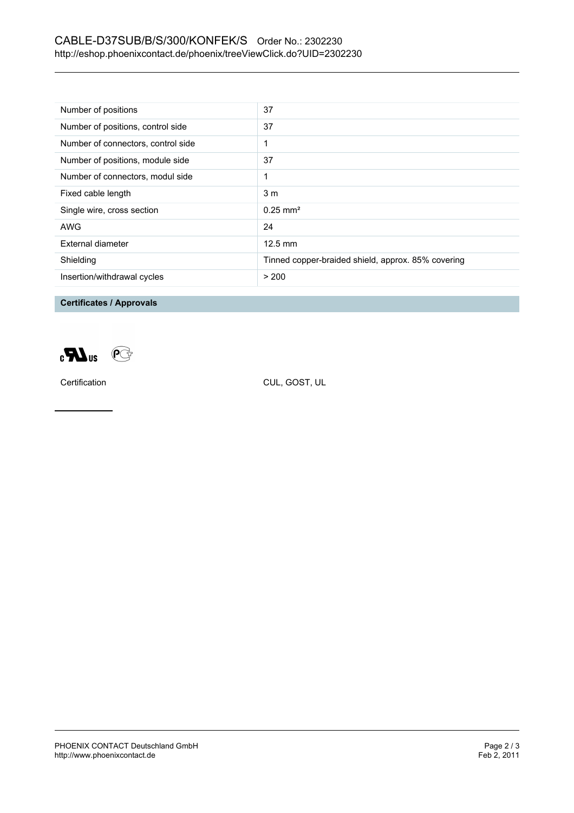## CABLE-D37SUB/B/S/300/KONFEK/S Order No.: 2302230 <http://eshop.phoenixcontact.de/phoenix/treeViewClick.do?UID=2302230>

| Number of positions                | 37                                                 |
|------------------------------------|----------------------------------------------------|
| Number of positions, control side  | 37                                                 |
| Number of connectors, control side |                                                    |
| Number of positions, module side   | 37                                                 |
| Number of connectors, modul side   | 1                                                  |
| Fixed cable length                 | 3 <sub>m</sub>                                     |
| Single wire, cross section         | $0.25 \text{ mm}^2$                                |
| AWG                                | 24                                                 |
| External diameter                  | $12.5 \text{ mm}$                                  |
| Shielding                          | Tinned copper-braided shield, approx. 85% covering |
| Insertion/withdrawal cycles        | > 200                                              |

**Certificates / Approvals**



Certification CUL, GOST, UL